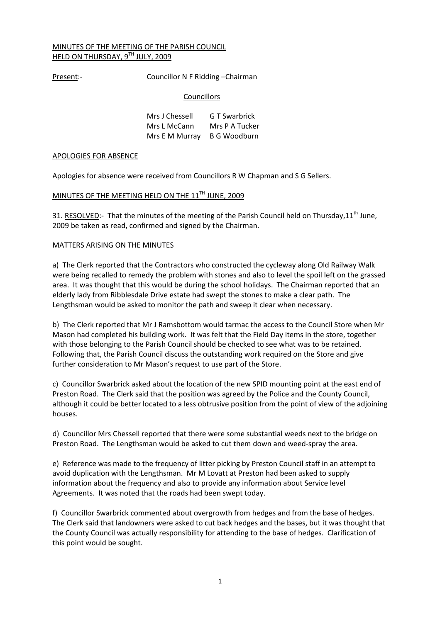## MINUTES OF THE MEETING OF THE PARISH COUNCIL HELD ON THURSDAY, 9TH JULY, 2009

Present:- Councillor N F Ridding - Chairman

## **Councillors**

| Mrs J Chessell              | G T Swarbrick  |
|-----------------------------|----------------|
| Mrs L McCann                | Mrs P A Tucker |
| Mrs E M Murray B G Woodburn |                |

## APOLOGIES FOR ABSENCE

Apologies for absence were received from Councillors R W Chapman and S G Sellers.

# MINUTES OF THE MEETING HELD ON THE 11<sup>TH</sup> JUNE, 2009

31. RESOLVED:- That the minutes of the meeting of the Parish Council held on Thursday, 11<sup>th</sup> June, 2009 be taken as read, confirmed and signed by the Chairman.

## MATTERS ARISING ON THE MINUTES

a) The Clerk reported that the Contractors who constructed the cycleway along Old Railway Walk were being recalled to remedy the problem with stones and also to level the spoil left on the grassed area. It was thought that this would be during the school holidays. The Chairman reported that an elderly lady from Ribblesdale Drive estate had swept the stones to make a clear path. The Lengthsman would be asked to monitor the path and sweep it clear when necessary.

b) The Clerk reported that Mr J Ramsbottom would tarmac the access to the Council Store when Mr Mason had completed his building work. It was felt that the Field Day items in the store, together with those belonging to the Parish Council should be checked to see what was to be retained. Following that, the Parish Council discuss the outstanding work required on the Store and give further consideration to Mr Mason's request to use part of the Store.

c) Councillor Swarbrick asked about the location of the new SPID mounting point at the east end of Preston Road. The Clerk said that the position was agreed by the Police and the County Council, although it could be better located to a less obtrusive position from the point of view of the adjoining houses.

d) Councillor Mrs Chessell reported that there were some substantial weeds next to the bridge on Preston Road. The Lengthsman would be asked to cut them down and weed-spray the area.

e) Reference was made to the frequency of litter picking by Preston Council staff in an attempt to avoid duplication with the Lengthsman. Mr M Lovatt at Preston had been asked to supply information about the frequency and also to provide any information about Service level Agreements. It was noted that the roads had been swept today.

f) Councillor Swarbrick commented about overgrowth from hedges and from the base of hedges. The Clerk said that landowners were asked to cut back hedges and the bases, but it was thought that the County Council was actually responsibility for attending to the base of hedges. Clarification of this point would be sought.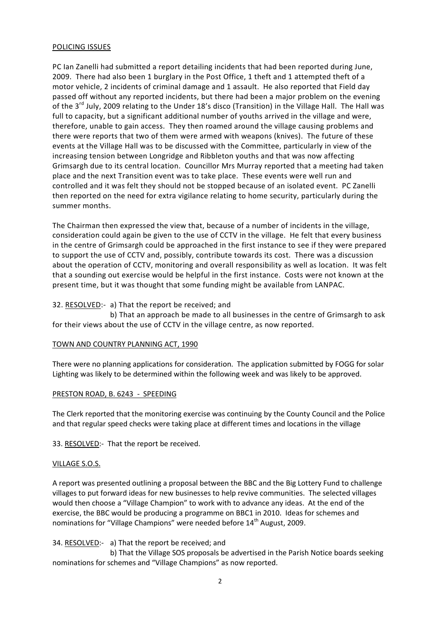## POLICING ISSUES

PC Ian Zanelli had submitted a report detailing incidents that had been reported during June, 2009. There had also been 1 burglary in the Post Office, 1 theft and 1 attempted theft of a motor vehicle, 2 incidents of criminal damage and 1 assault. He also reported that Field day passed off without any reported incidents, but there had been a major problem on the evening of the 3<sup>rd</sup> July, 2009 relating to the Under 18's disco (Transition) in the Village Hall. The Hall was full to capacity, but a significant additional number of youths arrived in the village and were, therefore, unable to gain access. They then roamed around the village causing problems and there were reports that two of them were armed with weapons (knives). The future of these events at the Village Hall was to be discussed with the Committee, particularly in view of the increasing tension between Longridge and Ribbleton youths and that was now affecting Grimsargh due to its central location. Councillor Mrs Murray reported that a meeting had taken place and the next Transition event was to take place. These events were well run and controlled and it was felt they should not be stopped because of an isolated event. PC Zanelli then reported on the need for extra vigilance relating to home security, particularly during the summer months.

The Chairman then expressed the view that, because of a number of incidents in the village, consideration could again be given to the use of CCTV in the village. He felt that every business in the centre of Grimsargh could be approached in the first instance to see if they were prepared to support the use of CCTV and, possibly, contribute towards its cost. There was a discussion about the operation of CCTV, monitoring and overall responsibility as well as location. It was felt that a sounding out exercise would be helpful in the first instance. Costs were not known at the present time, but it was thought that some funding might be available from LANPAC.

## 32. RESOLVED:- a) That the report be received; and

 b) That an approach be made to all businesses in the centre of Grimsargh to ask for their views about the use of CCTV in the village centre, as now reported.

## TOWN AND COUNTRY PLANNING ACT, 1990

There were no planning applications for consideration. The application submitted by FOGG for solar Lighting was likely to be determined within the following week and was likely to be approved.

## PRESTON ROAD, B. 6243 - SPEEDING

The Clerk reported that the monitoring exercise was continuing by the County Council and the Police and that regular speed checks were taking place at different times and locations in the village

33. RESOLVED:- That the report be received.

## VILLAGE S.O.S.

A report was presented outlining a proposal between the BBC and the Big Lottery Fund to challenge villages to put forward ideas for new businesses to help revive communities. The selected villages would then choose a "Village Champion" to work with to advance any ideas. At the end of the exercise, the BBC would be producing a programme on BBC1 in 2010. Ideas for schemes and nominations for "Village Champions" were needed before 14<sup>th</sup> August, 2009.

34. RESOLVED:- a) That the report be received; and

 b) That the Village SOS proposals be advertised in the Parish Notice boards seeking nominations for schemes and "Village Champions" as now reported.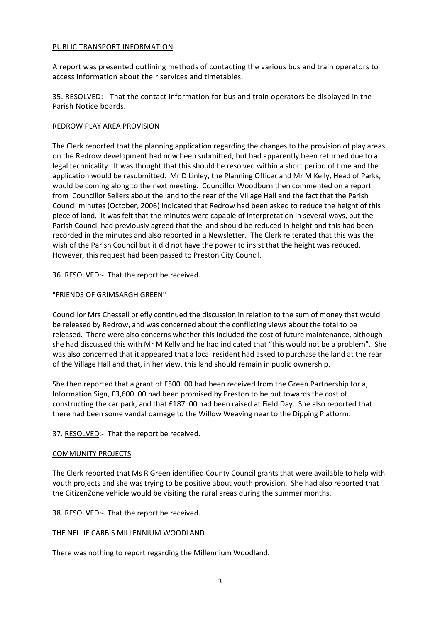## PUBLIC TRANSPORT INFORMATION

A report was presented outlining methods of contacting the various bus and train operators to access information about their services and timetables.

35. RESOLVED:- That the contact information for bus and train operators be displayed in the Parish Notice boards.

## REDROW PLAY AREA PROVISION

The Clerk reported that the planning application regarding the changes to the provision of play areas on the Redrow development had now been submitted, but had apparently been returned due to a legal technicality. It was thought that this should be resolved within a short period of time and the application would be resubmitted. Mr D Linley, the Planning Officer and Mr M Kelly, Head of Parks, would be coming along to the next meeting. Councillor Woodburn then commented on a report from Councillor Sellers about the land to the rear of the Village Hall and the fact that the Parish Council minutes (October, 2006) indicated that Redrow had been asked to reduce the height of this piece of land. It was felt that the minutes were capable of interpretation in several ways, but the Parish Council had previously agreed that the land should be reduced in height and this had been recorded in the minutes and also reported in a Newsletter. The Clerk reiterated that this was the wish of the Parish Council but it did not have the power to insist that the height was reduced. However, this request had been passed to Preston City Council.

36. RESOLVED:- That the report be received.

### "FRIENDS OF GRIMSARGH GREEN"

Councillor Mrs Chessell briefly continued the discussion in relation to the sum of money that would be released by Redrow, and was concerned about the conflicting views about the total to be released. There were also concerns whether this included the cost of future maintenance, although she had discussed this with Mr M Kelly and he had indicated that "this would not be a problem". She was also concerned that it appeared that a local resident had asked to purchase the land at the rear of the Village Hall and that, in her view, this land should remain in public ownership.

She then reported that a grant of £500. 00 had been received from the Green Partnership for a, Information Sign, £3,600. 00 had been promised by Preston to be put towards the cost of constructing the car park, and that £187. 00 had been raised at Field Day. She also reported that there had been some vandal damage to the Willow Weaving near to the Dipping Platform.

37. RESOLVED:- That the report be received.

#### COMMUNITY PROJECTS

The Clerk reported that Ms R Green identified County Council grants that were available to help with youth projects and she was trying to be positive about youth provision. She had also reported that the CitizenZone vehicle would be visiting the rural areas during the summer months.

38. RESOLVED:- That the report be received.

#### THE NELLIE CARBIS MILLENNIUM WOODLAND

There was nothing to report regarding the Millennium Woodland.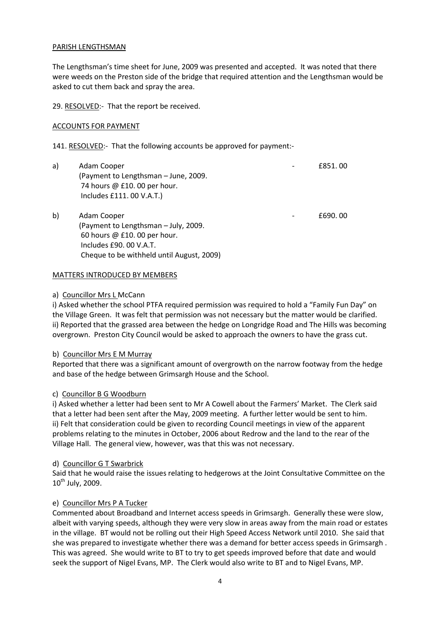## PARISH LENGTHSMAN

The Lengthsman's time sheet for June, 2009 was presented and accepted. It was noted that there were weeds on the Preston side of the bridge that required attention and the Lengthsman would be asked to cut them back and spray the area.

29. RESOLVED:- That the report be received.

### ACCOUNTS FOR PAYMENT

141. RESOLVED:- That the following accounts be approved for payment:-

| a) | Adam Cooper<br>(Payment to Lengthsman - June, 2009.<br>74 hours @ £10.00 per hour.<br>Includes £111.00 V.A.T.)                                             | £851,00 |
|----|------------------------------------------------------------------------------------------------------------------------------------------------------------|---------|
| b) | Adam Cooper<br>(Payment to Lengthsman - July, 2009.<br>60 hours @ £10.00 per hour.<br>Includes £90, 00 V.A.T.<br>Cheque to be withheld until August, 2009) | £690,00 |

### MATTERS INTRODUCED BY MEMBERS

### a) Councillor Mrs L McCann

i) Asked whether the school PTFA required permission was required to hold a "Family Fun Day" on the Village Green. It was felt that permission was not necessary but the matter would be clarified. ii) Reported that the grassed area between the hedge on Longridge Road and The Hills was becoming overgrown. Preston City Council would be asked to approach the owners to have the grass cut.

#### b) Councillor Mrs E M Murray

Reported that there was a significant amount of overgrowth on the narrow footway from the hedge and base of the hedge between Grimsargh House and the School.

## c) Councillor B G Woodburn

i) Asked whether a letter had been sent to Mr A Cowell about the Farmers' Market. The Clerk said that a letter had been sent after the May, 2009 meeting. A further letter would be sent to him. ii) Felt that consideration could be given to recording Council meetings in view of the apparent problems relating to the minutes in October, 2006 about Redrow and the land to the rear of the Village Hall. The general view, however, was that this was not necessary.

#### d) Councillor G T Swarbrick

Said that he would raise the issues relating to hedgerows at the Joint Consultative Committee on the  $10^{th}$  July, 2009.

## e) Councillor Mrs P A Tucker

Commented about Broadband and Internet access speeds in Grimsargh. Generally these were slow, albeit with varying speeds, although they were very slow in areas away from the main road or estates in the village. BT would not be rolling out their High Speed Access Network until 2010. She said that she was prepared to investigate whether there was a demand for better access speeds in Grimsargh . This was agreed. She would write to BT to try to get speeds improved before that date and would seek the support of Nigel Evans, MP. The Clerk would also write to BT and to Nigel Evans, MP.